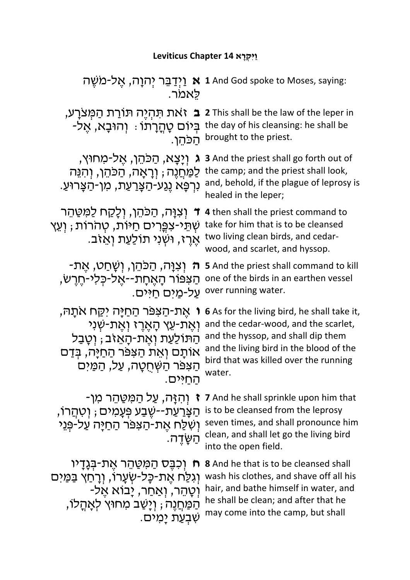## **ַו ִיּ ְקָרא 14 Chapter Leviticus**

| לאמר.                                                                                                                                    | וְיְדַבֵּר יְהוָה, אֱל-מֹשֶׁה 1 And God spoke to Moses, saying:                                                                                                                        |
|------------------------------------------------------------------------------------------------------------------------------------------|----------------------------------------------------------------------------------------------------------------------------------------------------------------------------------------|
| ַ זאת תּהִיֵּה תּוֹרַת הַמְּצרַע,<br>$\mathbf{a}$<br>ּבִּיוֹם טָהֲרָתוֹ: וְהוּבַא, אֵל-<br>הכהו.                                         | 2 This shall be the law of the leper in<br>the day of his cleansing: he shall be<br>brought to the priest.                                                                             |
| ַיִּנְצָא, הַכּהֵן, אֵל-מַחוּץ,                                                                                                          | <b>3</b> And the priest shall go forth out of                                                                                                                                          |
| λ                                                                                                                                        | the camp; and the priest shall look,                                                                                                                                                   |
| ַלַמַּחֲנֵה ; וְרָאָה, הַכּהֵן, וְהִנֵּה                                                                                                 | and, behold, if the plague of leprosy is                                                                                                                                               |
| ּנִרְפָּא נֵגַע-הַצָּרַעַת, מִן-הַצָּרוּעַ.                                                                                              | healed in the leper;                                                                                                                                                                   |
| ד וִצְוָה, הַכֹּהֵן, וְלָקַח לַמִּטַּהֵר<br>ֹשְׁתֵּי-צִפֵּרִים חַיּוֹת, טְהֹרוֹת ; וְעֵץ<br>ּאֵרֵז, וּשְׁנִי תוֹלַעֲת וְאֵזִב.           | 4 then shall the priest command to<br>take for him that is to be cleansed<br>two living clean birds, and cedar-<br>wood, and scarlet, and hyssop.                                      |
| ּוְצְוָּה, הַכַּהֵן, וְשָׁחַט, אֵת-                                                                                                      | 5 And the priest shall command to kill                                                                                                                                                 |
| הַצִּפּוֹר הָאֵחָת--אֵל-כִּלִי-חֵרֵשׂ,                                                                                                   | one of the birds in an earthen vessel                                                                                                                                                  |
| על-מים חיים.                                                                                                                             | over running water.                                                                                                                                                                    |
| ו אֵת-הַצִּפֿר הַחַיָּה יִקַּח אֹתָה,                                                                                                    | 6 As for the living bird, he shall take it,                                                                                                                                            |
| וְאֵת-עֵץ הָאֵרֵז וְאֵת-שְׁנִי                                                                                                           | and the cedar-wood, and the scarlet,                                                                                                                                                   |
| הַתּוֹלַעַת וְאֵת-הָאֵזב ; וְטָבַל                                                                                                       | and the hyssop, and shall dip them                                                                                                                                                     |
| אוֹתָם וְאֵת הַצִּפּר הַחַיָּה, בִּדַם                                                                                                   | and the living bird in the blood of the                                                                                                                                                |
| הַצִּפּר הַשְׁחָטָה, עַל, הַמַּיִּם                                                                                                      | bird that was killed over the running                                                                                                                                                  |
| החיים                                                                                                                                    | water.                                                                                                                                                                                 |
| ַּוְהְזֶה, עַל הַמְּטַהֶר מְן-<br>ָהַצָּרַעַת--שֶׁבַע פְּעָמְים ; וְטְהֲרוֹ<br>וְשִׁלַּח אֶת-הַצִּפּר הַחַיַּה עַל-פְּנֵי<br>ּהַשָּׁדֵה. | 7 And he shall sprinkle upon him that<br>is to be cleansed from the leprosy<br>seven times, and shall pronounce him<br>clean, and shall let go the living bird<br>into the open field. |
| ּח וְכִבֶּס הַמִּטַּהֵר אֶת-בִּנָדָיו                                                                                                    | <b>8</b> And he that is to be cleansed shall                                                                                                                                           |
| וְגִלַּח אֶת-כָּל-שְׂעָרוֹ, וְרָחַץ בַּמַּיִּם                                                                                           | wash his clothes, and shave off all his                                                                                                                                                |
| ּוְטָהֶר, וְאַחַר, יָבוֹא אֵל-                                                                                                           | hair, and bathe himself in water, and                                                                                                                                                  |
| ְהַמַּחֲנֵה ; וְיָשַׁב מְחוּץ לְאֲהֲלוֹ,                                                                                                 | he shall be clean; and after that he                                                                                                                                                   |
| ַשְׁבְעַת יַמִים.                                                                                                                        | may come into the camp, but shall                                                                                                                                                      |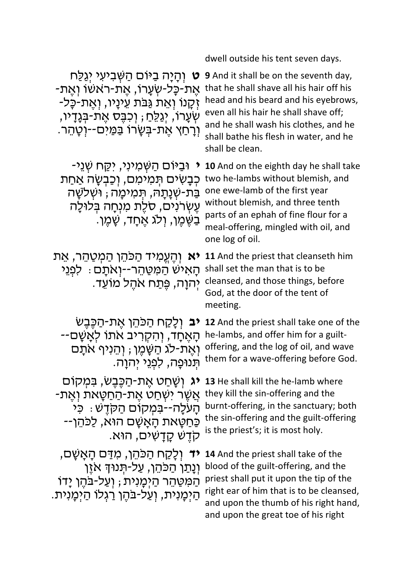dwell outside his tent seven days.

**ּט** וְהָיָה בַיּוֹם הַשְּׁביעי יְגַלַּח<br>אֶת-כָּל-שְׂעָרוֹ, אֶת-ראשו וְאֶת-<br>זָקַנוֹ וְאֵת גַּבּת עֵינַיו, וְאֵת-כָּל-ְעֻׂרוֹ, יְגַלֵּחַ ; וְכִבֵּס אֶת-בִּנָדָיו, ּוָרָחַץ אֵת-בִּשָּׂרוֹ בַּמַּיִּם--וִטָהֵר.

**י** וּבַיּוֹם הַשָּׁמִינִי, יִקֵּח שָׁנֵי-כִּבָּשִׂים תִּמִימִם, וְכַבְשָׂה אַחַת ַבַּת-שְׁנַתַּהּ, תִּמִימָה ; וּשְׁלֹשָׁה עֵשְׂרֹנִים, סלֵת מִנְחָה בְּלוּלָה ַבְשֶׁמֶן, וְלֹג אֶחֶד, שָׁמֶן.

**אַ יְהֶעֱמִיד הַכּהֵן הַמְטַהֵר, אֵת <b>11** And the priest that cleanseth him ּהַאִישׁ הַמִּטֲהֶר--יִוְאַתַּם : לִפְגֵי יְהִוָה, פֵּתַח אֹהֵל מוֹעֵד.

**יב** וְלָקַח הַכּהֵן אֶת-הַכֶּבֶשׂ<br>הָאֶחָד, וְהִקְרִיב אתו לִאַשַּׁם--וְאֶת-לֹג הַשֶּׁמֶן ; וְהֵנִיף אתֵם ּתְנוּפָה, לִפְנֵי יִהוָה.

יג וְשָׁחַט אֶת-הַכֶּבֶשׂ, בִּמְקוֹם<br>אֲשֶׁר יִשְׁחַט אֵת-הַחַטַּאת וְאֵת-הָעֹלָה--בִּמְקוֹם הַקְדָשׁ : כִּי<br>כַּחַטַּאת הַאַשַׁם הוּא, לַכּהֵו--.אוּה ,םיִשָׁדָק שֶׁדֹק

**יד** וְלֵקַח הַכּהֵן, מִדַּם הַאֲשָׁם, וָנָתַו הַכּהֵו, עַל-תִּנוּדְ אזֵו ְהַמְּטַּהֶר הַיִּמְנִית ; וְעַל-בּהֵן יָדוֹ הַיִּמַּנִית, וְעַל-בּהֶן רַגְלוֹ הַיְמֲנִית.

**9** And it shall be on the seventh day, that he shall shave all his hair off his head and his beard and his eyebrows, even all his hair he shall shave off; and he shall wash his clothes, and he shall bathe his flesh in water, and he shall be clean.

**10** And on the eighth day he shall take two he-lambs without blemish, and one ewe-lamb of the first year without blemish, and three tenth parts of an ephah of fine flour for a meal-offering, mingled with oil, and one log of oil.

shall set the man that is to be cleansed, and those things, before God, at the door of the tent of meeting.

**12** And the priest shall take one of the he-lambs, and offer him for a guiltoffering, and the log of oil, and wave them for a wave-offering before God.

**13** He shall kill the he-lamb where they kill the sin-offering and the burnt-offering, in the sanctuary; both the sin-offering and the guilt-offering is the priest's; it is most holy.

**14** And the priest shall take of the blood of the guilt-offering, and the priest shall put it upon the tip of the right ear of him that is to be cleansed, and upon the thumb of his right hand, and upon the great toe of his right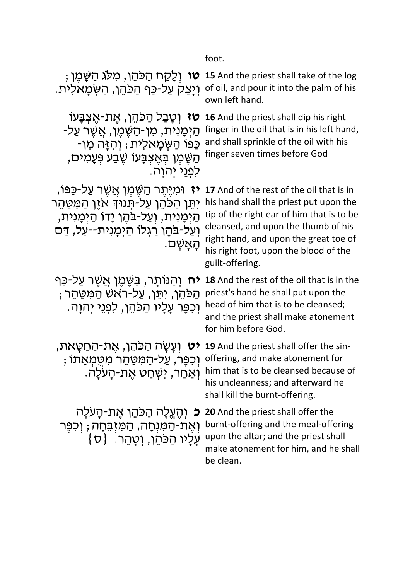foot.

**וֹט 15** And the priest shall take of the log **וֹלְקַח הַכֹּהֵן, מִלֹּג הַשֶּׁמֶן** ; יִצְקָ עַל-כַּף הַכּהֵן, הַשְּׂמָאלִית. pof oil, and pour it into the palm of his

הַיְמָנִית, מִן-הַשֶּׁמֶן, אֲשֶׁר עַל-<br>כַּפּוֹ הַשִּׂמַאלִית , וְהִזֶּה מִן-ָהַשֶּׁמֵן בְּאֵצְבָּעוֹ שֵׁבַע פְּעָמִים, לִפְנֵי יִהְוַה.

**ֿז** וּמִיֵּתֵר הַשֶּׁמֵן אֲשֵׁר עַל-כַּפּוֹ, יִתֵּן הַכֹּהֵן עַל-תִּנוּךְ אזֵן הַמִּטַּהֵר הַיִּמְנִית, וְעַל-בֹּהֵן יָדוֹ הַיִּמְנִית, וְעַל-בּהֵן רַגְלוּ הַיִּמֲנִית--עַל, דַּם .םָשָׁאָה

**יח** וְהַנּוֹתָר, בַּשֶּׁמֶן אֲשֶׁר עַל-כַּף ַחֲכַּהֵו, יִתֵּו, עֲל-רֹאשׁ הַמֵּטֵּהֵר ; וְכִפֵּר עַלֵיו הַכֹּהֵן, לִפְנֵי יִהוַה.

**יט** וְעֲשֶׂה הַכַּהֵן, אֲת-הַחַטֵּאת, ּוְכִפֶּר, עַל-הַמִּטַּהֵר מִטַּמְאָתוֹ ּוָאֲחֵר, יִשְׁחֵט אֶת-הַעָּלָה.

**ּכ** וְהֵעֵלָה הַכֹּהֵן אֵת-הָעֹלָה וְאֶת-הַמִּנְחָה, הַמִּזְבֵּחָה ; וְכִפֶּר  $\{ \sigma \}$  ) עָלְיו הַכּהֵן, וְטָהֵר

own left hand.

**16** And the priest shall dip his right **16** And the priest shall dip his right finger in the oil that is in his left hand, and shall sprinkle of the oil with his finger seven times before God

> **17** And of the rest of the oil that is in his hand shall the priest put upon the tip of the right ear of him that is to be cleansed, and upon the thumb of his right hand, and upon the great toe of his right foot, upon the blood of the guilt-offering.

**18** And the rest of the oil that is in the priest's hand he shall put upon the head of him that is to be cleansed; and the priest shall make atonement for him before God.

**19** And the priest shall offer the sinoffering, and make atonement for him that is to be cleansed because of his uncleanness; and afterward he shall kill the burnt-offering.

**20** And the priest shall offer the burnt-offering and the meal-offering upon the altar; and the priest shall make atonement for him, and he shall be clean.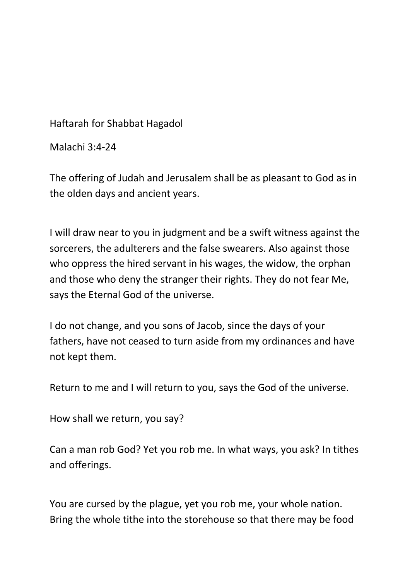Haftarah for Shabbat Hagadol

Malachi 3:4-24

The offering of Judah and Jerusalem shall be as pleasant to God as in the olden days and ancient years.

I will draw near to you in judgment and be a swift witness against the sorcerers, the adulterers and the false swearers. Also against those who oppress the hired servant in his wages, the widow, the orphan and those who deny the stranger their rights. They do not fear Me, says the Eternal God of the universe.

I do not change, and you sons of Jacob, since the days of your fathers, have not ceased to turn aside from my ordinances and have not kept them.

Return to me and I will return to you, says the God of the universe.

How shall we return, you say?

Can a man rob God? Yet you rob me. In what ways, you ask? In tithes and offerings.

You are cursed by the plague, yet you rob me, your whole nation. Bring the whole tithe into the storehouse so that there may be food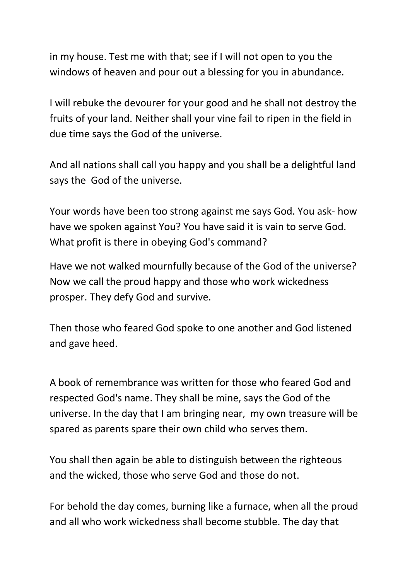in my house. Test me with that; see if I will not open to you the windows of heaven and pour out a blessing for you in abundance.

I will rebuke the devourer for your good and he shall not destroy the fruits of your land. Neither shall your vine fail to ripen in the field in due time says the God of the universe.

And all nations shall call you happy and you shall be a delightful land says the God of the universe.

Your words have been too strong against me says God. You ask- how have we spoken against You? You have said it is vain to serve God. What profit is there in obeying God's command?

Have we not walked mournfully because of the God of the universe? Now we call the proud happy and those who work wickedness prosper. They defy God and survive.

Then those who feared God spoke to one another and God listened and gave heed.

A book of remembrance was written for those who feared God and respected God's name. They shall be mine, says the God of the universe. In the day that I am bringing near, my own treasure will be spared as parents spare their own child who serves them.

You shall then again be able to distinguish between the righteous and the wicked, those who serve God and those do not.

For behold the day comes, burning like a furnace, when all the proud and all who work wickedness shall become stubble. The day that